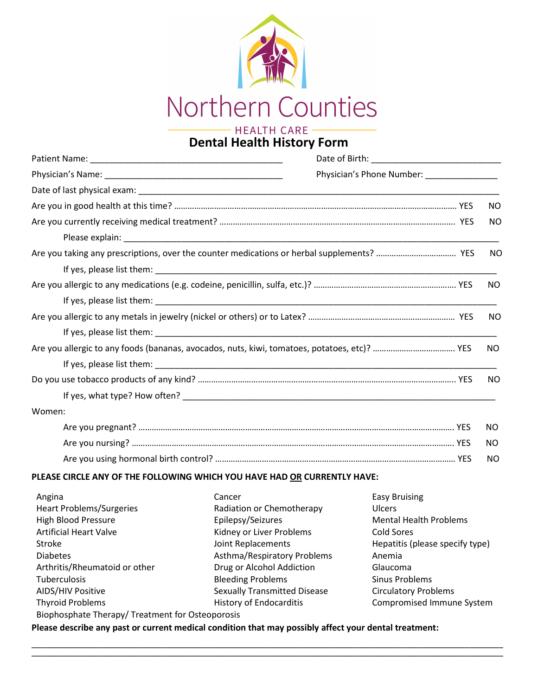

# **Dental Health History Form**

|        | Physician's Phone Number: ___________________ |           |
|--------|-----------------------------------------------|-----------|
|        |                                               |           |
|        |                                               | NO        |
|        |                                               | <b>NO</b> |
|        |                                               |           |
|        |                                               | NO.       |
|        |                                               |           |
|        |                                               | NO        |
|        |                                               |           |
|        |                                               | NO.       |
|        |                                               |           |
|        |                                               | NO.       |
|        |                                               |           |
|        |                                               | NO.       |
|        |                                               |           |
| Women: |                                               |           |
|        |                                               | NO.       |
|        |                                               | NO.       |
|        |                                               | NO.       |

## **PLEASE CIRCLE ANY OF THE FOLLOWING WHICH YOU HAVE HAD OR CURRENTLY HAVE:**

| Angina                                           | Cancer                              | <b>Easy Bruising</b>            |  |  |
|--------------------------------------------------|-------------------------------------|---------------------------------|--|--|
| <b>Heart Problems/Surgeries</b>                  | Radiation or Chemotherapy           | <b>Ulcers</b>                   |  |  |
| <b>High Blood Pressure</b>                       | Epilepsy/Seizures                   | <b>Mental Health Problems</b>   |  |  |
| <b>Artificial Heart Valve</b>                    | Kidney or Liver Problems            | Cold Sores                      |  |  |
| Stroke                                           | Joint Replacements                  | Hepatitis (please specify type) |  |  |
| <b>Diabetes</b>                                  | Asthma/Respiratory Problems         | Anemia                          |  |  |
| Arthritis/Rheumatoid or other                    | Drug or Alcohol Addiction           | Glaucoma                        |  |  |
| <b>Tuberculosis</b>                              | <b>Bleeding Problems</b>            | Sinus Problems                  |  |  |
| AIDS/HIV Positive                                | <b>Sexually Transmitted Disease</b> | <b>Circulatory Problems</b>     |  |  |
| <b>Thyroid Problems</b>                          | <b>History of Endocarditis</b>      | Compromised Immune System       |  |  |
| Biophosphate Therapy/ Treatment for Osteoporosis |                                     |                                 |  |  |

\_\_\_\_\_\_\_\_\_\_\_\_\_\_\_\_\_\_\_\_\_\_\_\_\_\_\_\_\_\_\_\_\_\_\_\_\_\_\_\_\_\_\_\_\_\_\_\_\_\_\_\_\_\_\_\_\_\_\_\_\_\_\_\_\_\_\_\_\_\_\_\_\_\_\_\_\_\_\_\_\_\_\_\_\_\_\_\_\_\_\_\_\_\_\_\_\_\_ \_\_\_\_\_\_\_\_\_\_\_\_\_\_\_\_\_\_\_\_\_\_\_\_\_\_\_\_\_\_\_\_\_\_\_\_\_\_\_\_\_\_\_\_\_\_\_\_\_\_\_\_\_\_\_\_\_\_\_\_\_\_\_\_\_\_\_\_\_\_\_\_\_\_\_\_\_\_\_\_\_\_\_\_\_\_\_\_\_\_\_\_\_\_\_\_\_\_

**Please describe any past or current medical condition that may possibly affect your dental treatment:**